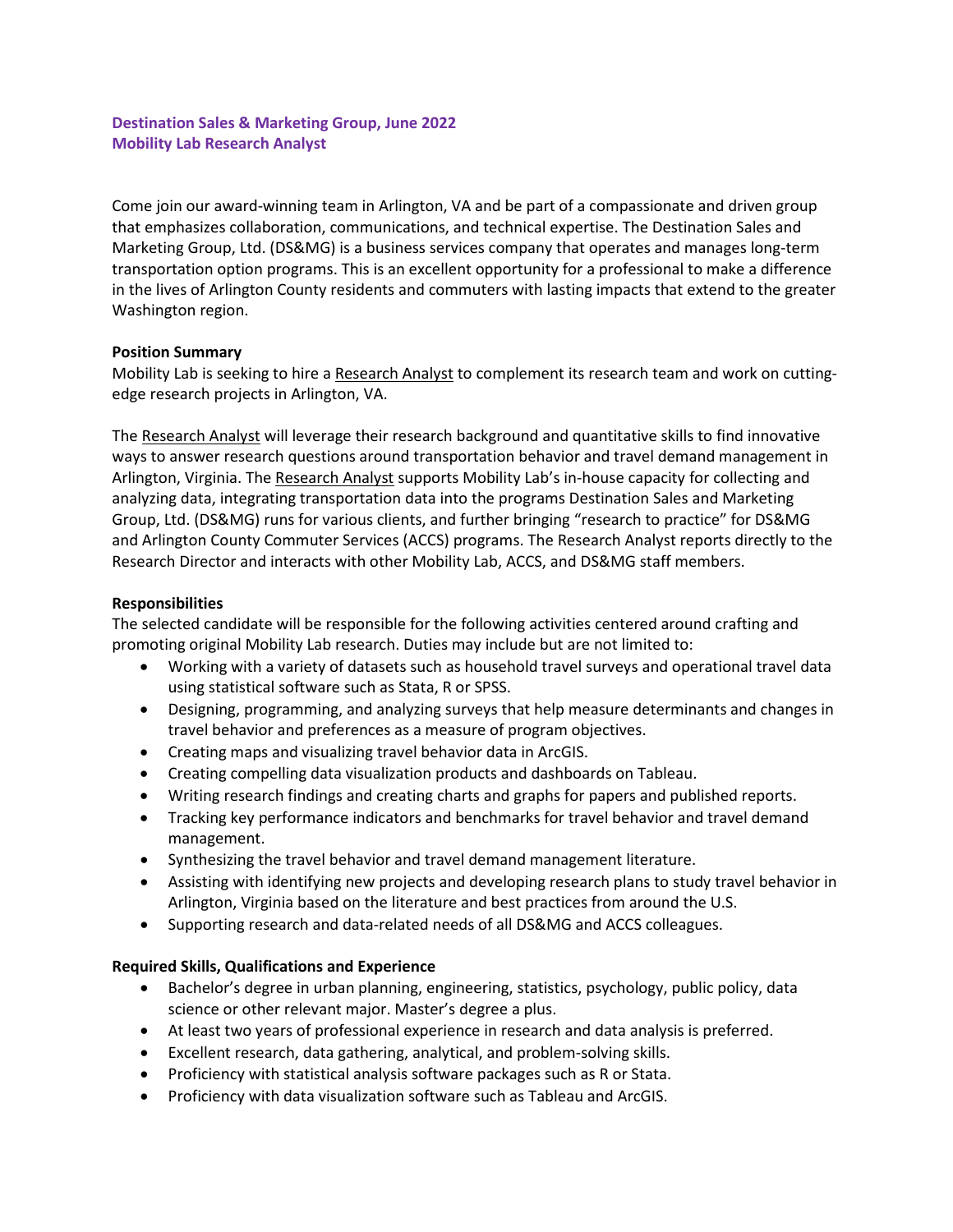# **Destination Sales & Marketing Group, June 2022 Mobility Lab Research Analyst**

Come join our award‐winning team in Arlington, VA and be part of a compassionate and driven group that emphasizes collaboration, communications, and technical expertise. The Destination Sales and Marketing Group, Ltd. (DS&MG) is a business services company that operates and manages long‐term transportation option programs. This is an excellent opportunity for a professional to make a difference in the lives of Arlington County residents and commuters with lasting impacts that extend to the greater Washington region.

### **Position Summary**

Mobility Lab is seeking to hire a Research Analyst to complement its research team and work on cuttingedge research projects in Arlington, VA.

The Research Analyst will leverage their research background and quantitative skills to find innovative ways to answer research questions around transportation behavior and travel demand management in Arlington, Virginia. The Research Analyst supports Mobility Lab's in-house capacity for collecting and analyzing data, integrating transportation data into the programs Destination Sales and Marketing Group, Ltd. (DS&MG) runs for various clients, and further bringing "research to practice" for DS&MG and Arlington County Commuter Services (ACCS) programs. The Research Analyst reports directly to the Research Director and interacts with other Mobility Lab, ACCS, and DS&MG staff members.

## **Responsibilities**

The selected candidate will be responsible for the following activities centered around crafting and promoting original Mobility Lab research. Duties may include but are not limited to:

- Working with a variety of datasets such as household travel surveys and operational travel data using statistical software such as Stata, R or SPSS.
- Designing, programming, and analyzing surveys that help measure determinants and changes in travel behavior and preferences as a measure of program objectives.
- Creating maps and visualizing travel behavior data in ArcGIS.
- Creating compelling data visualization products and dashboards on Tableau.
- Writing research findings and creating charts and graphs for papers and published reports.
- Tracking key performance indicators and benchmarks for travel behavior and travel demand management.
- Synthesizing the travel behavior and travel demand management literature.
- Assisting with identifying new projects and developing research plans to study travel behavior in Arlington, Virginia based on the literature and best practices from around the U.S.
- Supporting research and data-related needs of all DS&MG and ACCS colleagues.

## **Required Skills, Qualifications and Experience**

- Bachelor's degree in urban planning, engineering, statistics, psychology, public policy, data science or other relevant major. Master's degree a plus.
- At least two years of professional experience in research and data analysis is preferred.
- Excellent research, data gathering, analytical, and problem-solving skills.
- Proficiency with statistical analysis software packages such as R or Stata.
- Proficiency with data visualization software such as Tableau and ArcGIS.